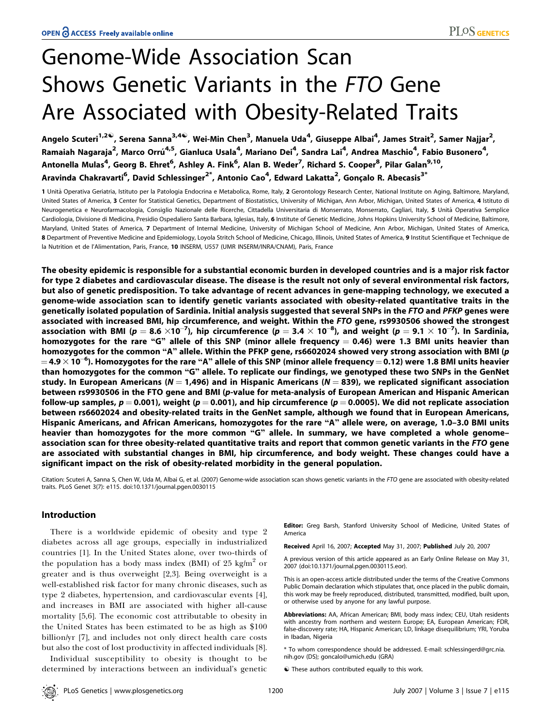# Genome-Wide Association Scan Shows Genetic Variants in the FTO Gene Are Associated with Obesity-Related Traits

Angelo Scuteri<sup>1,2©</sup>, Serena Sanna<sup>3,4©</sup>, Wei-Min Chen<sup>3</sup>, Manuela Uda<sup>4</sup>, Giuseppe Albai<sup>4</sup>, James Strait<sup>2</sup>, Samer Najjar<sup>2</sup>, Ramaiah Nagaraja<sup>2</sup>, Marco Orrú<sup>4,5</sup>, Gianluca Usala<sup>4</sup>, Mariano Dei<sup>4</sup>, Sandra Lai<sup>4</sup>, Andrea Maschio<sup>4</sup>, Fabio Busonero<sup>4</sup>, Antonella Mulas<sup>4</sup>, Georg B. Ehret<sup>6</sup>, Ashley A. Fink<sup>6</sup>, Alan B. Weder<sup>7</sup>, Richard S. Cooper<sup>8</sup>, Pilar Galan<sup>9,10</sup>, Aravinda Chakravarti<sup>6</sup>, David Schlessinger<sup>2\*</sup>, Antonio Cao<sup>4</sup>, Edward Lakatta<sup>2</sup>, Gonçalo R. Abecasis<sup>3\*</sup>

1 Unità Operativa Geriatria, Istituto per la Patologia Endocrina e Metabolica, Rome, Italy, 2 Gerontology Research Center, National Institute on Aging, Baltimore, Maryland, United States of America, 3 Center for Statistical Genetics, Department of Biostatistics, University of Michigan, Ann Arbor, Michigan, United States of America, 4 Istituto di Neurogenetica e Neurofarmacologia, Consiglio Nazionale delle Ricerche, Cittadella Universitaria di Monserrato, Monserrato, Cagliari, Italy, 5 Unità Operativa Semplice Cardiologia, Divisione di Medicina, Presidio Ospedaliero Santa Barbara, Iglesias, Italy, 6 Institute of Genetic Medicine, Johns Hopkins University School of Medicine, Baltimore, Maryland, United States of America, 7 Department of Internal Medicine, University of Michigan School of Medicine, Ann Arbor, Michigan, United States of America, 8 Department of Preventive Medicine and Epidemiology, Loyola Stritch School of Medicine, Chicago, Illinois, United States of America, 9 Institut Scientifique et Technique de la Nutrition et de l'Alimentation, Paris, France, 10 INSERM, U557 (UMR INSERM/INRA/CNAM), Paris, France

The obesity epidemic is responsible for a substantial economic burden in developed countries and is a major risk factor for type 2 diabetes and cardiovascular disease. The disease is the result not only of several environmental risk factors, but also of genetic predisposition. To take advantage of recent advances in gene-mapping technology, we executed a genome-wide association scan to identify genetic variants associated with obesity-related quantitative traits in the genetically isolated population of Sardinia. Initial analysis suggested that several SNPs in the FTO and PFKP genes were associated with increased BMI, hip circumference, and weight. Within the FTO gene, rs9930506 showed the strongest association with BMI ( $p=8.6\times10^{-7}$ ), hip circumference ( $p=3.4\times10^{-8}$ ), and weight ( $p=9.1\times10^{-7}$ ). In Sardinia, homozygotes for the rare "G" allele of this SNP (minor allele frequency  $= 0.46$ ) were 1.3 BMI units heavier than homozygotes for the common "A" allele. Within the PFKP gene, rs6602024 showed very strong association with BMI (p  $=$  4.9  $\times$  10 $^{-6}$ ). Homozygotes for the rare "A" allele of this SNP (minor allele frequency  $=$  0.12) were 1.8 BMI units heavier than homozygotes for the common ''G'' allele. To replicate our findings, we genotyped these two SNPs in the GenNet study. In European Americans (N  $=$  1,496) and in Hispanic Americans (N  $=$  839), we replicated significant association between rs9930506 in the FTO gene and BMI (p-value for meta-analysis of European American and Hispanic American follow-up samples,  $p = 0.001$ ), weight (p = 0.001), and hip circumference (p = 0.0005). We did not replicate association between rs6602024 and obesity-related traits in the GenNet sample, although we found that in European Americans, Hispanic Americans, and African Americans, homozygotes for the rare "A" allele were, on average, 1.0–3.0 BMI units heavier than homozygotes for the more common "G" allele. In summary, we have completed a whole genomeassociation scan for three obesity-related quantitative traits and report that common genetic variants in the FTO gene are associated with substantial changes in BMI, hip circumference, and body weight. These changes could have a significant impact on the risk of obesity-related morbidity in the general population.

Citation: Scuteri A, Sanna S, Chen W, Uda M, Albai G, et al. (2007) Genome-wide association scan shows genetic variants in the FTO gene are associated with obesity-related traits. PLoS Genet 3(7): e115. doi:10.1371/journal.pgen.0030115

## Introduction

There is a worldwide epidemic of obesity and type 2 diabetes across all age groups, especially in industrialized countries [1]. In the United States alone, over two-thirds of the population has a body mass index (BMI) of 25 kg/m<sup>2</sup> or greater and is thus overweight [2,3]. Being overweight is a well-established risk factor for many chronic diseases, such as type 2 diabetes, hypertension, and cardiovascular events [4], and increases in BMI are associated with higher all-cause mortality [5,6]. The economic cost attributable to obesity in the United States has been estimated to be as high as \$100 billion/yr [7], and includes not only direct health care costs but also the cost of lost productivity in affected individuals [8].

Individual susceptibility to obesity is thought to be determined by interactions between an individual's genetic **Editor:** Greg Barsh, Stanford University School of Medicine, United States of America

Received April 16, 2007; Accepted May 31, 2007; Published July 20, 2007

A previous version of this article appeared as an Early Online Release on May 31, 2007 (doi:10.1371/journal.pgen.0030115.eor).

This is an open-access article distributed under the terms of the Creative Commons Public Domain declaration which stipulates that, once placed in the public domain, this work may be freely reproduced, distributed, transmitted, modified, built upon, or otherwise used by anyone for any lawful purpose.

Abbreviations: AA, African American; BMI, body mass index; CEU, Utah residents with ancestry from northern and western Europe; EA, European American; FDR, false-discovery rate; HA, Hispanic American; LD, linkage disequilibrium; YRI, Yoruba in Ibadan, Nigeria

\* To whom correspondence should be addressed. E-mail: schlessingerd@grc.nia. nih.gov (DS); goncalo@umich.edu (GRA)

 $\bullet$  These authors contributed equally to this work.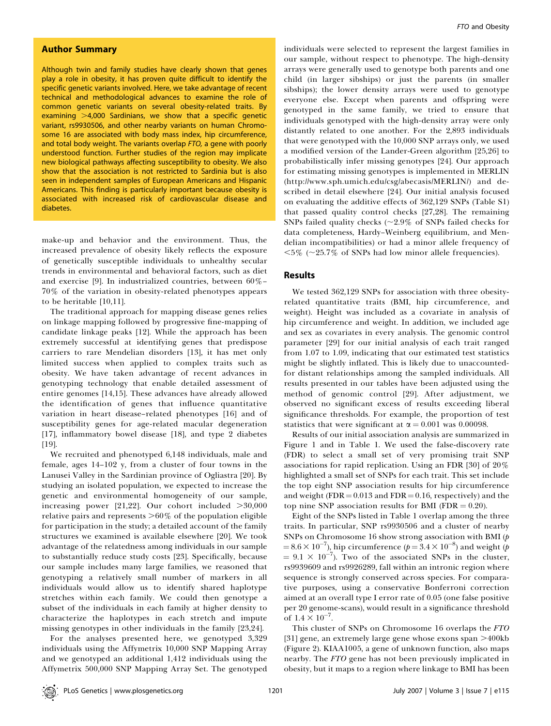## Author Summary

Although twin and family studies have clearly shown that genes play a role in obesity, it has proven quite difficult to identify the specific genetic variants involved. Here, we take advantage of recent technical and methodological advances to examine the role of common genetic variants on several obesity-related traits. By examining  $>4,000$  Sardinians, we show that a specific genetic variant, rs9930506, and other nearby variants on human Chromosome 16 are associated with body mass index, hip circumference, and total body weight. The variants overlap FTO, a gene with poorly understood function. Further studies of the region may implicate new biological pathways affecting susceptibility to obesity. We also show that the association is not restricted to Sardinia but is also seen in independent samples of European Americans and Hispanic Americans. This finding is particularly important because obesity is associated with increased risk of cardiovascular disease and diabetes.

make-up and behavior and the environment. Thus, the increased prevalence of obesity likely reflects the exposure of genetically susceptible individuals to unhealthy secular trends in environmental and behavioral factors, such as diet and exercise [9]. In industrialized countries, between 60%– 70% of the variation in obesity-related phenotypes appears to be heritable [10,11].

The traditional approach for mapping disease genes relies on linkage mapping followed by progressive fine-mapping of candidate linkage peaks [12]. While the approach has been extremely successful at identifying genes that predispose carriers to rare Mendelian disorders [13], it has met only limited success when applied to complex traits such as obesity. We have taken advantage of recent advances in genotyping technology that enable detailed assessment of entire genomes [14,15]. These advances have already allowed the identification of genes that influence quantitative variation in heart disease–related phenotypes [16] and of susceptibility genes for age-related macular degeneration [17], inflammatory bowel disease [18], and type 2 diabetes [19].

We recruited and phenotyped 6,148 individuals, male and female, ages 14–102 y, from a cluster of four towns in the Lanusei Valley in the Sardinian province of Ogliastra [20]. By studying an isolated population, we expected to increase the genetic and environmental homogeneity of our sample, increasing power [21,22]. Our cohort included  $>30,000$ relative pairs and represents  $>60\%$  of the population eligible for participation in the study; a detailed account of the family structures we examined is available elsewhere [20]. We took advantage of the relatedness among individuals in our sample to substantially reduce study costs [23]. Specifically, because our sample includes many large families, we reasoned that genotyping a relatively small number of markers in all individuals would allow us to identify shared haplotype stretches within each family. We could then genotype a subset of the individuals in each family at higher density to characterize the haplotypes in each stretch and impute missing genotypes in other individuals in the family [23,24].

For the analyses presented here, we genotyped 3,329 individuals using the Affymetrix 10,000 SNP Mapping Array and we genotyped an additional 1,412 individuals using the Affymetrix 500,000 SNP Mapping Array Set. The genotyped

individuals were selected to represent the largest families in our sample, without respect to phenotype. The high-density arrays were generally used to genotype both parents and one child (in larger sibships) or just the parents (in smaller sibships); the lower density arrays were used to genotype everyone else. Except when parents and offspring were genotyped in the same family, we tried to ensure that individuals genotyped with the high-density array were only distantly related to one another. For the 2,893 individuals that were genotyped with the 10,000 SNP arrays only, we used a modified version of the Lander-Green algorithm [25,26] to probabilistically infer missing genotypes [24]. Our approach for estimating missing genotypes is implemented in MERLIN (http://www.sph.umich.edu/csg/abecasis/MERLIN/) and described in detail elsewhere [24]. Our initial analysis focused on evaluating the additive effects of 362,129 SNPs (Table S1) that passed quality control checks [27,28]. The remaining SNPs failed quality checks ( $\sim$ 2.9% of SNPs failed checks for data completeness, Hardy–Weinberg equilibrium, and Mendelian incompatibilities) or had a minor allele frequency of  $<5\%$  ( $\sim$ 25.7% of SNPs had low minor allele frequencies).

## Results

We tested 362,129 SNPs for association with three obesityrelated quantitative traits (BMI, hip circumference, and weight). Height was included as a covariate in analysis of hip circumference and weight. In addition, we included age and sex as covariates in every analysis. The genomic control parameter [29] for our initial analysis of each trait ranged from 1.07 to 1.09, indicating that our estimated test statistics might be slightly inflated. This is likely due to unaccountedfor distant relationships among the sampled individuals. All results presented in our tables have been adjusted using the method of genomic control [29]. After adjustment, we observed no significant excess of results exceeding liberal significance thresholds. For example, the proportion of test statistics that were significant at  $\alpha = 0.001$  was 0.00098.

Results of our initial association analysis are summarized in Figure 1 and in Table 1. We used the false-discovery rate (FDR) to select a small set of very promising trait SNP associations for rapid replication. Using an FDR [30] of 20% highlighted a small set of SNPs for each trait. This set include the top eight SNP association results for hip circumference and weight (FDR  $= 0.013$  and FDR  $= 0.16$ , respectively) and the top nine SNP association results for BMI (FDR  $= 0.20$ ).

Eight of the SNPs listed in Table 1 overlap among the three traits. In particular, SNP rs9930506 and a cluster of nearby SNPs on Chromosome 16 show strong association with BMI (p =  $8.6 \times 10^{-7}$ ), hip circumference ( $p = 3.4 \times 10^{-8}$ ) and weight ( $p$  $= 9.1 \times 10^{-7}$ ). Two of the associated SNPs in the cluster, rs9939609 and rs9926289, fall within an intronic region where sequence is strongly conserved across species. For comparative purposes, using a conservative Bonferroni correction aimed at an overall type I error rate of 0.05 (one false positive per 20 genome-scans), would result in a significance threshold of  $1.4 \times 10^{-7}$ .

This cluster of SNPs on Chromosome 16 overlaps the FTO [31] gene, an extremely large gene whose exons span  $>400kb$ (Figure 2). KIAA1005, a gene of unknown function, also maps nearby. The FTO gene has not been previously implicated in obesity, but it maps to a region where linkage to BMI has been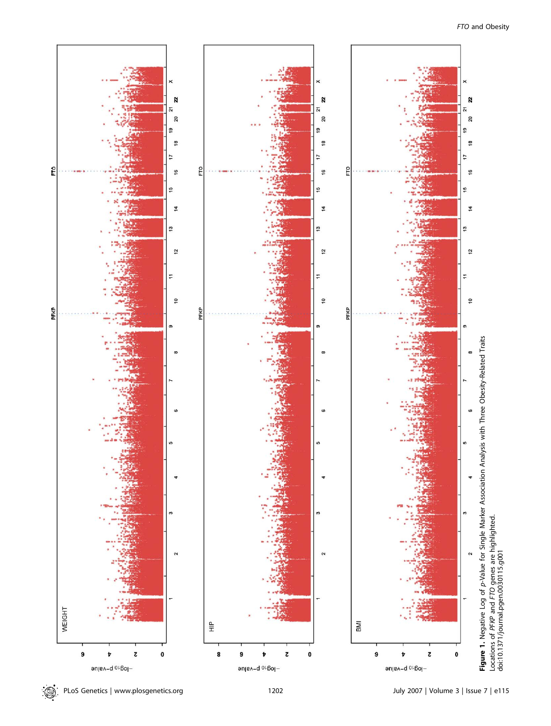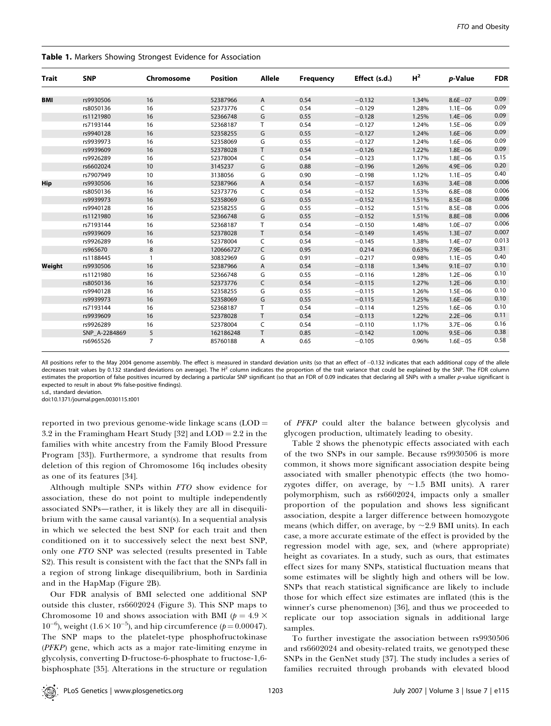| Trait      | <b>SNP</b>    | Chromosome     | <b>Position</b> | <b>Allele</b> | <b>Frequency</b> | Effect (s.d.) | H <sup>2</sup> | p-Value     | <b>FDR</b> |
|------------|---------------|----------------|-----------------|---------------|------------------|---------------|----------------|-------------|------------|
|            |               |                |                 |               |                  |               |                |             |            |
| <b>BMI</b> | rs9930506     | 16             | 52387966        | A             | 0.54             | $-0.132$      | 1.34%          | $8.6E - 07$ | 0.09       |
|            | rs8050136     | 16             | 52373776        | C             | 0.54             | $-0.129$      | 1.28%          | $1.1E - 06$ | 0.09       |
|            | rs1121980     | 16             | 52366748        | G             | 0.55             | $-0.128$      | 1.25%          | $1.4E - 06$ | 0.09       |
|            | rs7193144     | 16             | 52368187        | T             | 0.54             | $-0.127$      | 1.24%          | $1.5E - 06$ | 0.09       |
|            | rs9940128     | 16             | 52358255        | G             | 0.55             | $-0.127$      | 1.24%          | $1.6E - 06$ | 0.09       |
|            | rs9939973     | 16             | 52358069        | G             | 0.55             | $-0.127$      | 1.24%          | $1.6E - 06$ | 0.09       |
|            | rs9939609     | 16             | 52378028        | T.            | 0.54             | $-0.126$      | 1.22%          | $1.8E - 06$ | 0.09       |
|            | rs9926289     | 16             | 52378004        | C             | 0.54             | $-0.123$      | 1.17%          | $1.8E - 06$ | 0.15       |
|            | rs6602024     | 10             | 3145237         | G             | 0.88             | $-0.196$      | 1.26%          | $4.9E - 06$ | 0.20       |
|            | rs7907949     | 10             | 3138056         | G             | 0.90             | $-0.198$      | 1.12%          | $1.1E - 05$ | 0.40       |
| Hip        | rs9930506     | 16             | 52387966        | A             | 0.54             | $-0.157$      | 1.63%          | $3.4E - 08$ | 0.006      |
|            | rs8050136     | 16             | 52373776        | C             | 0.54             | $-0.152$      | 1.53%          | $6.8E - 08$ | 0.006      |
|            | rs9939973     | 16             | 52358069        | G             | 0.55             | $-0.152$      | 1.51%          | $8.5E - 08$ | 0.006      |
|            | rs9940128     | 16             | 52358255        | G             | 0.55             | $-0.152$      | 1.51%          | $8.5E - 08$ | 0.006      |
|            | rs1121980     | 16             | 52366748        | G             | 0.55             | $-0.152$      | 1.51%          | $8.8E - 08$ | 0.006      |
|            | rs7193144     | 16             | 52368187        | T.            | 0.54             | $-0.150$      | 1.48%          | $1.0E - 07$ | 0.006      |
|            | rs9939609     | 16             | 52378028        | T             | 0.54             | $-0.149$      | 1.45%          | $1.3E - 07$ | 0.007      |
|            | rs9926289     | 16             | 52378004        | C             | 0.54             | $-0.145$      | 1.38%          | $1.4E - 07$ | 0.013      |
|            | rs965670      | 8              | 120666727       | C             | 0.95             | 0.214         | 0.63%          | $7.9E - 06$ | 0.31       |
|            | rs1188445     | $\mathbf{1}$   | 30832969        | G             | 0.91             | $-0.217$      | 0.98%          | $1.1E - 05$ | 0.40       |
| Weight     | rs9930506     | 16             | 52387966        | A             | 0.54             | $-0.118$      | 1.34%          | $9.1E - 07$ | 0.10       |
|            | rs1121980     | 16             | 52366748        | G             | 0.55             | $-0.116$      | 1.28%          | $1.2E - 06$ | 0.10       |
|            | rs8050136     | 16             | 52373776        | C             | 0.54             | $-0.115$      | 1.27%          | $1.2E - 06$ | 0.10       |
|            | rs9940128     | 16             | 52358255        | G             | 0.55             | $-0.115$      | 1.26%          | $1.5E - 06$ | 0.10       |
|            | rs9939973     | 16             | 52358069        | G             | 0.55             | $-0.115$      | 1.25%          | $1.6E - 06$ | 0.10       |
|            | rs7193144     | 16             | 52368187        | T             | 0.54             | $-0.114$      | 1.25%          | $1.6E - 06$ | 0.10       |
|            | rs9939609     | 16             | 52378028        | T             | 0.54             | $-0.113$      | 1.22%          | $2.2E - 06$ | 0.11       |
|            | rs9926289     | 16             | 52378004        | C             | 0.54             | $-0.110$      | 1.17%          | $3.7E - 06$ | 0.16       |
|            | SNP_A-2284869 | 5              | 162186248       | T             | 0.85             | $-0.142$      | 1.00%          | $9.5E - 06$ | 0.38       |
|            | rs6965526     | $\overline{7}$ | 85760188        | A             | 0.65             | $-0.105$      | 0.96%          | $1.6E - 05$ | 0.58       |

|  |  |  |  |  |  | Table 1. Markers Showing Strongest Evidence for Association |
|--|--|--|--|--|--|-------------------------------------------------------------|
|--|--|--|--|--|--|-------------------------------------------------------------|

All positions refer to the May 2004 genome assembly. The effect is measured in standard deviation units (so that an effect of -0.132 indicates that each additional copy of the allele decreases trait values by 0.132 standard deviations on average). The  $H^2$  column indicates the proportion of the trait variance that could be explained by the SNP. The FDR column estimates the proportion of false positives incurred by declaring a particular SNP significant (so that an FDR of 0.09 indicates that declaring all SNPs with a smaller p-value significant is expected to result in about 9% false-positive findings).

s.d., standard deviation. doi:10.1371/journal.pgen.0030115.t001

reported in two previous genome-wide linkage scans  $(LOD =$ 3.2 in the Framingham Heart Study [32] and  $LOD = 2.2$  in the families with white ancestry from the Family Blood Pressure Program [33]). Furthermore, a syndrome that results from deletion of this region of Chromosome 16q includes obesity as one of its features [34].

Although multiple SNPs within FTO show evidence for association, these do not point to multiple independently associated SNPs—rather, it is likely they are all in disequilibrium with the same causal variant(s). In a sequential analysis in which we selected the best SNP for each trait and then conditioned on it to successively select the next best SNP, only one FTO SNP was selected (results presented in Table S2). This result is consistent with the fact that the SNPs fall in a region of strong linkage disequilibrium, both in Sardinia and in the HapMap (Figure 2B).

Our FDR analysis of BMI selected one additional SNP outside this cluster, rs6602024 (Figure 3). This SNP maps to Chromosome 10 and shows association with BMI ( $p = 4.9 \times$  $10^{-6}$ ), weight (1.6  $\times$   $10^{-5}$ ), and hip circumference ( $p$  = 0.00047). The SNP maps to the platelet-type phosphofructokinase (PFKP) gene, which acts as a major rate-limiting enzyme in glycolysis, converting D-fructose-6-phosphate to fructose-1,6 bisphosphate [35]. Alterations in the structure or regulation

of PFKP could alter the balance between glycolysis and glycogen production, ultimately leading to obesity.

Table 2 shows the phenotypic effects associated with each of the two SNPs in our sample. Because rs9930506 is more common, it shows more significant association despite being associated with smaller phenotypic effects (the two homozygotes differ, on average, by  $\sim$ 1.5 BMI units). A rarer polymorphism, such as rs6602024, impacts only a smaller proportion of the population and shows less significant association, despite a larger difference between homozygote means (which differ, on average, by  $\sim$  2.9 BMI units). In each case, a more accurate estimate of the effect is provided by the regression model with age, sex, and (where appropriate) height as covariates. In a study, such as ours, that estimates effect sizes for many SNPs, statistical fluctuation means that some estimates will be slightly high and others will be low. SNPs that reach statistical significance are likely to include those for which effect size estimates are inflated (this is the winner's curse phenomenon) [36], and thus we proceeded to replicate our top association signals in additional large samples.

To further investigate the association between rs9930506 and rs6602024 and obesity-related traits, we genotyped these SNPs in the GenNet study [37]. The study includes a series of families recruited through probands with elevated blood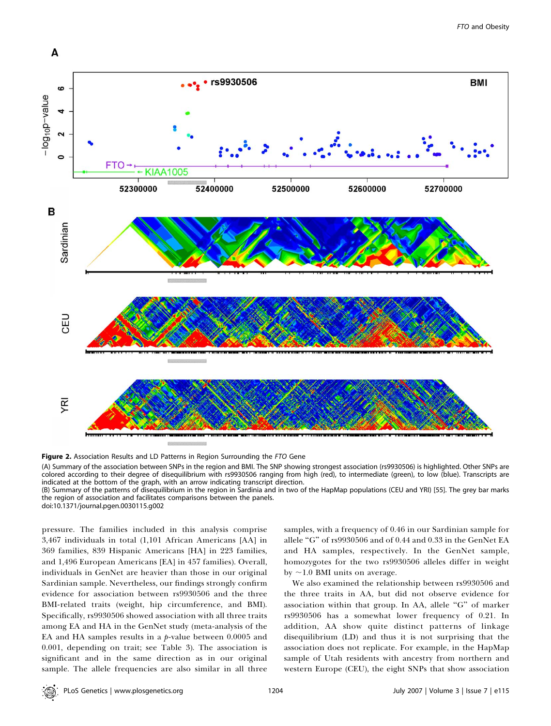

Figure 2. Association Results and LD Patterns in Region Surrounding the FTO Gene

(A) Summary of the association between SNPs in the region and BMI. The SNP showing strongest association (rs9930506) is highlighted. Other SNPs are colored according to their degree of disequilibrium with rs9930506 ranging from high (red), to intermediate (green), to low (blue). Transcripts are indicated at the bottom of the graph, with an arrow indicating transcript direction.

(B) Summary of the patterns of disequilibrium in the region in Sardinia and in two of the HapMap populations (CEU and YRI) [55]. The grey bar marks the region of association and facilitates comparisons between the panels.

doi:10.1371/journal.pgen.0030115.g002

pressure. The families included in this analysis comprise 3,467 individuals in total (1,101 African Americans [AA] in 369 families, 839 Hispanic Americans [HA] in 223 families, and 1,496 European Americans [EA] in 457 families). Overall, individuals in GenNet are heavier than those in our original Sardinian sample. Nevertheless, our findings strongly confirm evidence for association between rs9930506 and the three BMI-related traits (weight, hip circumference, and BMI). Specifically, rs9930506 showed association with all three traits among EA and HA in the GenNet study (meta-analysis of the EA and HA samples results in a  $p$ -value between 0.0005 and 0.001, depending on trait; see Table 3). The association is significant and in the same direction as in our original sample. The allele frequencies are also similar in all three

samples, with a frequency of 0.46 in our Sardinian sample for allele ''G'' of rs9930506 and of 0.44 and 0.33 in the GenNet EA and HA samples, respectively. In the GenNet sample, homozygotes for the two rs9930506 alleles differ in weight by  $\sim$ 1.0 BMI units on average.

We also examined the relationship between rs9930506 and the three traits in AA, but did not observe evidence for association within that group. In AA, allele ''G'' of marker rs9930506 has a somewhat lower frequency of 0.21. In addition, AA show quite distinct patterns of linkage disequilibrium (LD) and thus it is not surprising that the association does not replicate. For example, in the HapMap sample of Utah residents with ancestry from northern and western Europe (CEU), the eight SNPs that show association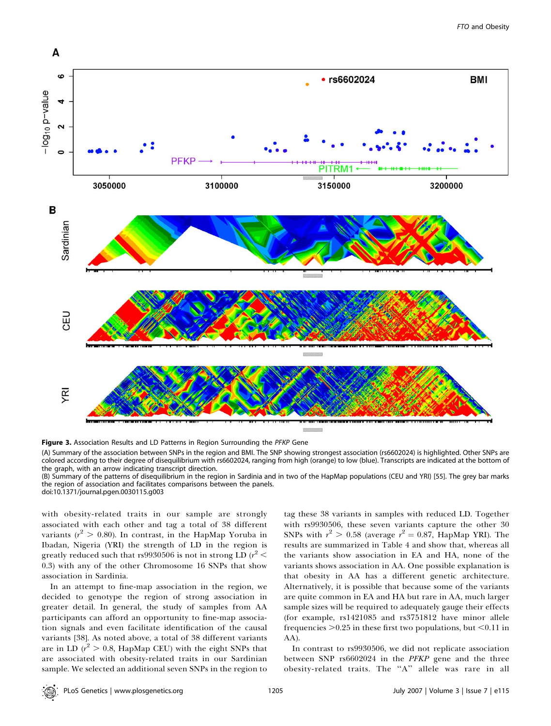

Figure 3. Association Results and LD Patterns in Region Surrounding the PFKP Gene

(A) Summary of the association between SNPs in the region and BMI. The SNP showing strongest association (rs6602024) is highlighted. Other SNPs are colored according to their degree of disequilibrium with rs6602024, ranging from high (orange) to low (blue). Transcripts are indicated at the bottom of the graph, with an arrow indicating transcript direction.

(B) Summary of the patterns of disequilibrium in the region in Sardinia and in two of the HapMap populations (CEU and YRI) [55]. The grey bar marks the region of association and facilitates comparisons between the panels. doi:10.1371/journal.pgen.0030115.g003

with obesity-related traits in our sample are strongly associated with each other and tag a total of 38 different variants ( $r^2 > 0.80$ ). In contrast, in the HapMap Yoruba in Ibadan, Nigeria (YRI) the strength of LD in the region is greatly reduced such that rs $9930506$  is not in strong LD ( $r^2$   $<$ 0.3) with any of the other Chromosome 16 SNPs that show association in Sardinia.

In an attempt to fine-map association in the region, we decided to genotype the region of strong association in greater detail. In general, the study of samples from AA participants can afford an opportunity to fine-map association signals and even facilitate identification of the causal variants [38]. As noted above, a total of 38 different variants are in LD ( $r^2 > 0.8$ , HapMap CEU) with the eight SNPs that are associated with obesity-related traits in our Sardinian sample. We selected an additional seven SNPs in the region to

tag these 38 variants in samples with reduced LD. Together with rs9930506, these seven variants capture the other 30 SNPs with  $r^2 > 0.58$  (average  $r^2 = 0.87$ , HapMap YRI). The results are summarized in Table 4 and show that, whereas all the variants show association in EA and HA, none of the variants shows association in AA. One possible explanation is that obesity in AA has a different genetic architecture. Alternatively, it is possible that because some of the variants are quite common in EA and HA but rare in AA, much larger sample sizes will be required to adequately gauge their effects (for example, rs1421085 and rs3751812 have minor allele frequencies  $>0.25$  in these first two populations, but <0.11 in AA).

In contrast to rs9930506, we did not replicate association between SNP rs6602024 in the PFKP gene and the three obesity-related traits. The ''A'' allele was rare in all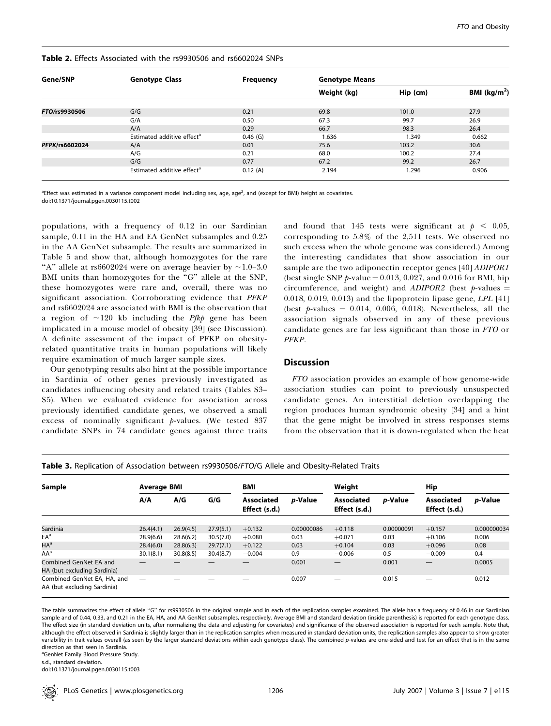| Gene/SNP       | <b>Genotype Class</b>                  | <b>Frequency</b> | <b>Genotype Means</b> |          |                 |  |  |  |
|----------------|----------------------------------------|------------------|-----------------------|----------|-----------------|--|--|--|
|                |                                        |                  | Weight (kg)           | Hip (cm) | BMI ( $kg/m2$ ) |  |  |  |
|                |                                        |                  |                       |          |                 |  |  |  |
| FTO/rs9930506  | G/G                                    | 0.21             | 69.8                  | 101.0    | 27.9            |  |  |  |
|                | G/A                                    | 0.50             | 67.3                  | 99.7     | 26.9            |  |  |  |
|                | A/A                                    | 0.29             | 66.7                  | 98.3     | 26.4            |  |  |  |
|                | Estimated additive effect <sup>a</sup> | $0.46$ (G)       | 1.636                 | 1.349    | 0.662           |  |  |  |
| PFPK/rs6602024 | A/A                                    | 0.01             | 75.6                  | 103.2    | 30.6            |  |  |  |
|                | A/G                                    | 0.21             | 68.0                  | 100.2    | 27.4            |  |  |  |
|                | G/G                                    | 0.77             | 67.2                  | 99.2     | 26.7            |  |  |  |
|                | Estimated additive effect <sup>a</sup> | 0.12(A)          | 2.194                 | 1.296    | 0.906           |  |  |  |

### Table 2. Effects Associated with the rs9930506 and rs6602024 SNPs

<sup>a</sup>Effect was estimated in a variance component model including sex, age, age<sup>2</sup>, and (except for BMI) height as covariates. doi:10.1371/journal.pgen.0030115.t002

populations, with a frequency of 0.12 in our Sardinian sample, 0.11 in the HA and EA GenNet subsamples and 0.25 in the AA GenNet subsample. The results are summarized in Table 5 and show that, although homozygotes for the rare "A" allele at rs6602024 were on average heavier by  $\sim$ 1.0–3.0 BMI units than homozygotes for the "G" allele at the SNP, these homozygotes were rare and, overall, there was no significant association. Corroborating evidence that PFKP and rs6602024 are associated with BMI is the observation that a region of  $\sim$ 120 kb including the *Pfkp* gene has been implicated in a mouse model of obesity [39] (see Discussion). A definite assessment of the impact of PFKP on obesityrelated quantitative traits in human populations will likely require examination of much larger sample sizes.

Our genotyping results also hint at the possible importance in Sardinia of other genes previously investigated as candidates influencing obesity and related traits (Tables S3– S5). When we evaluated evidence for association across previously identified candidate genes, we observed a small excess of nominally significant  $p$ -values. (We tested 837 candidate SNPs in 74 candidate genes against three traits

and found that 145 tests were significant at  $p < 0.05$ , corresponding to 5.8% of the 2,511 tests. We observed no such excess when the whole genome was considered.) Among the interesting candidates that show association in our sample are the two adiponectin receptor genes [40] *ADIPOR1* (best single SNP  $p$ -value = 0.013, 0.027, and 0.016 for BMI, hip circumference, and weight) and  $ADIPOR2$  (best p-values = 0.018, 0.019, 0.013) and the lipoprotein lipase gene,  $LPL$  [41] (best  $p$ -values = 0.014, 0.006, 0.018). Nevertheless, all the association signals observed in any of these previous candidate genes are far less significant than those in FTO or PFKP.

## **Discussion**

FTO association provides an example of how genome-wide association studies can point to previously unsuspected candidate genes. An interstitial deletion overlapping the region produces human syndromic obesity [34] and a hint that the gene might be involved in stress responses stems from the observation that it is down-regulated when the heat

| Sample                                                     | <b>Average BMI</b> |           |           | BMI                                |            | Weight                             |            | Hip                                |                 |  |  |
|------------------------------------------------------------|--------------------|-----------|-----------|------------------------------------|------------|------------------------------------|------------|------------------------------------|-----------------|--|--|
|                                                            | A/A                | A/G       | G/G       | <b>Associated</b><br>Effect (s.d.) | p-Value    | <b>Associated</b><br>Effect (s.d.) | p-Value    | <b>Associated</b><br>Effect (s.d.) | <i>p</i> -Value |  |  |
| Sardinia                                                   | 26.4(4.1)          | 26.9(4.5) | 27.9(5.1) | $+0.132$                           | 0.00000086 | $+0.118$                           | 0.00000091 | $+0.157$                           | 0.000000034     |  |  |
| $EA^a$                                                     | 28.9(6.6)          | 28.6(6.2) | 30.5(7.0) | $+0.080$                           | 0.03       | $+0.071$                           | 0.03       | $+0.106$                           | 0.006           |  |  |
| $HA^a$                                                     | 28.4(6.0)          | 28.8(6.3) | 29.7(7.1) | $+0.122$                           | 0.03       | $+0.104$                           | 0.03       | $+0.096$                           | 0.08            |  |  |
| $AA^a$                                                     | 30.1(8.1)          | 30.8(8.5) | 30.4(8.7) | $-0.004$                           | 0.9        | $-0.006$                           | 0.5        | $-0.009$                           | 0.4             |  |  |
| Combined GenNet EA and<br>HA (but excluding Sardinia)      |                    |           |           |                                    | 0.001      |                                    | 0.001      |                                    | 0.0005          |  |  |
| Combined GenNet EA, HA, and<br>AA (but excluding Sardinia) |                    |           |           |                                    | 0.007      |                                    | 0.015      |                                    | 0.012           |  |  |

Table 3. Replication of Association between rs9930506/FTO/G Allele and Obesity-Related Traits

The table summarizes the effect of allele "G" for rs9930506 in the original sample and in each of the replication samples examined. The allele has a frequency of 0.46 in our Sardinian sample and of 0.44, 0.33, and 0.21 in the EA, HA, and AA GenNet subsamples, respectively. Average BMI and standard deviation (inside parenthesis) is reported for each genotype class. The effect size (in standard deviation units, after normalizing the data and adjusting for covariates) and significance of the observed association is reported for each sample. Note that, although the effect observed in Sardinia is slightly larger than in the replication samples when measured in standard deviation units, the replication samples also appear to show greater variability in trait values overall (as seen by the larger standard deviations within each genotype class). The combined p-values are one-sided and test for an effect that is in the same direction as that seen in Sardinia.

<sup>a</sup>GenNet Family Blood Pressure Study.

s.d., standard deviation.

doi:10.1371/journal.pgen.0030115.t003

PLoS Genetics | www.plosgenetics.org | November 2007 | Volume 3 | Issue 7 | e115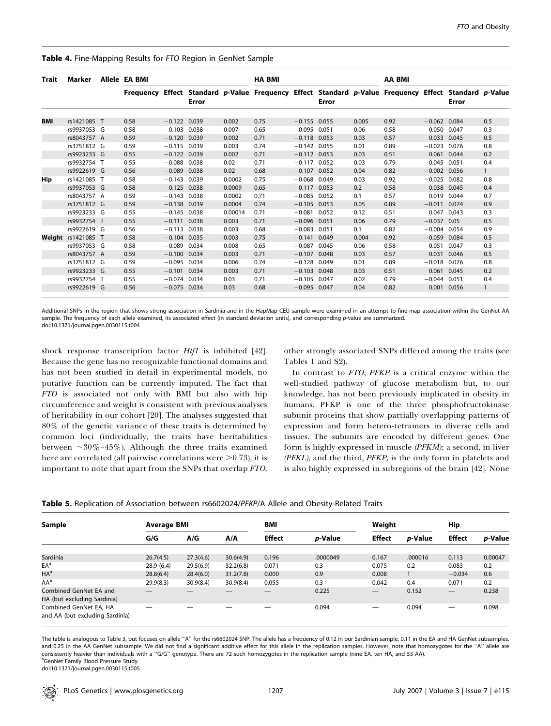| Trait | Marker                    | Allele EA BMI |      |                |       |         | <b>HA BMI</b>                                                                                         |                |       | AA BMI |      |                |             |     |
|-------|---------------------------|---------------|------|----------------|-------|---------|-------------------------------------------------------------------------------------------------------|----------------|-------|--------|------|----------------|-------------|-----|
|       |                           |               |      |                | Error |         | Frequency Effect Standard p-Value Frequency Effect Standard p-Value Frequency Effect Standard p-Value |                | Error |        |      |                | Error       |     |
| BMI   | rs1421085 T               |               | 0.58 | $-0.122$ 0.039 |       | 0.002   | 0.75                                                                                                  | $-0.155$ 0.055 |       | 0.005  | 0.92 | $-0.062$ 0.084 |             | 0.5 |
|       | rs9937053 G               |               | 0.58 | $-0.103$ 0.038 |       | 0.007   | 0.65                                                                                                  | $-0.095$ 0.051 |       | 0.06   | 0.58 | 0.050          | 0.047       | 0.3 |
|       | rs8043757 A               |               | 0.59 | $-0.120$ 0.039 |       | 0.002   | 0.71                                                                                                  | $-0.118$       | 0.053 | 0.03   | 0.57 | 0.033          | 0.045       | 0.5 |
|       | rs3751812 G               |               | 0.59 | $-0.115$ 0.039 |       | 0.003   | 0.74                                                                                                  | $-0.142$ 0.055 |       | 0.01   | 0.89 | $-0.023$ 0.076 |             | 0.8 |
|       | rs9923233 G               |               | 0.55 | $-0.122$ 0.039 |       | 0.002   | 0.71                                                                                                  | $-0.112$ 0.053 |       | 0.03   | 0.51 | 0.061          | 0.044       | 0.2 |
|       | rs9932754 T               |               | 0.55 | $-0.088$ 0.038 |       | 0.02    | 0.71                                                                                                  | $-0.117$       | 0.052 | 0.03   | 0.79 | $-0.045$       | 0.051       | 0.4 |
|       | rs9922619 G               |               | 0.56 | $-0.089$ 0.038 |       | 0.02    | 0.68                                                                                                  | $-0.107$ 0.052 |       | 0.04   | 0.82 | $-0.002$ 0.056 |             |     |
|       | rs1421085 T               |               | 0.58 | $-0.143$ 0.039 |       | 0.0002  | 0.75                                                                                                  | $-0.068$ 0.049 |       | 0.03   | 0.92 | $-0.025$ 0.082 |             | 0.8 |
| Hip   |                           |               |      |                |       |         |                                                                                                       |                |       |        |      |                |             |     |
|       | rs9937053 G               |               | 0.58 | $-0.125$ 0.038 |       | 0.0009  | 0.65                                                                                                  | $-0.117$ 0.053 |       | 0.2    | 0.58 |                | 0.038 0.045 | 0.4 |
|       | rs8043757 A               |               | 0.59 | $-0.143$ 0.038 |       | 0.0002  | 0.71                                                                                                  | $-0.085$       | 0.052 | 0.1    | 0.57 | 0.019          | 0.044       | 0.7 |
|       | rs3751812 G               |               | 0.59 | $-0.138$ 0.039 |       | 0.0004  | 0.74                                                                                                  | $-0.105$ 0.053 |       | 0.05   | 0.89 | $-0.011$       | 0.074       | 0.9 |
|       | rs9923233 G               |               | 0.55 | $-0.145$ 0.038 |       | 0.00014 | 0.71                                                                                                  | $-0.081$ 0.052 |       | 0.12   | 0.51 | 0.047          | 0.043       | 0.3 |
|       | rs9932754 T               |               | 0.55 | $-0.111$ 0.038 |       | 0.003   | 0.71                                                                                                  | $-0.096$ 0.051 |       | 0.06   | 0.79 | $-0.037$       | 0.05        | 0.5 |
|       | rs9922619 G               |               | 0.56 | $-0.113$ 0.038 |       | 0.003   | 0.68                                                                                                  | $-0.083$       | 0.051 | 0.1    | 0.82 | $-0.004$       | 0.054       | 0.9 |
|       | <b>Weight</b> rs1421085 T |               | 0.58 | $-0.104$ 0.035 |       | 0.003   | 0.75                                                                                                  | $-0.141$ 0.049 |       | 0.004  | 0.92 | $-0.059$       | 0.084       | 0.5 |
|       | rs9937053 G               |               | 0.58 | $-0.089$ 0.034 |       | 0.008   | 0.65                                                                                                  | $-0.087$       | 0.045 | 0.06   | 0.58 | 0.051          | 0.047       | 0.3 |
|       | rs8043757 A               |               | 0.59 | $-0.100$ 0.034 |       | 0.003   | 0.71                                                                                                  | $-0.107$       | 0.048 | 0.03   | 0.57 | 0.031          | 0.046       | 0.5 |
|       | rs3751812 G               |               | 0.59 | $-0.095$ 0.034 |       | 0.006   | 0.74                                                                                                  | $-0.128$       | 0.049 | 0.01   | 0.89 | $-0.018$       | 0.076       | 0.8 |
|       | rs9923233 G               |               | 0.55 | $-0.101$ 0.034 |       | 0.003   | 0.71                                                                                                  | $-0.103$       | 0.048 | 0.03   | 0.51 | 0.061          | 0.045       | 0.2 |
|       | rs9932754 T               |               | 0.55 | $-0.074$ 0.034 |       | 0.03    | 0.71                                                                                                  | $-0.105$ 0.047 |       | 0.02   | 0.79 | $-0.044$       | 0.051       | 0.4 |
|       | rs9922619 G               |               | 0.56 | $-0.075$ 0.034 |       | 0.03    | 0.68                                                                                                  | $-0.095$ 0.047 |       | 0.04   | 0.82 |                | 0.001 0.056 |     |

#### Table 4. Fine-Mapping Results for FTO Region in GenNet Sample

Additional SNPs in the region that shows strong association in Sardinia and in the HapMap CEU sample were examined in an attempt to fine-map association within the GenNet AA sample. The frequency of each allele examined, its associated effect (in standard deviation units), and corresponding p-value are summarized. doi:10.1371/journal.pgen.0030115.t004

shock response transcription factor Htf1 is inhibited [42]. Because the gene has no recognizable functional domains and has not been studied in detail in experimental models, no putative function can be currently imputed. The fact that FTO is associated not only with BMI but also with hip circumference and weight is consistent with previous analyses of heritability in our cohort [20]. The analyses suggested that 80% of the genetic variance of these traits is determined by common loci (individually, the traits have heritabilities between  $\sim 30\%$ –45%). Although the three traits examined here are correlated (all pairwise correlations were  $>0.73$ ), it is important to note that apart from the SNPs that overlap FTO,

other strongly associated SNPs differed among the traits (see Tables 1 and S2).

In contrast to FTO, PFKP is a critical enzyme within the well-studied pathway of glucose metabolism but, to our knowledge, has not been previously implicated in obesity in humans. PFKP is one of the three phosphofructokinase subunit proteins that show partially overlapping patterns of expression and form hetero-tetramers in diverse cells and tissues. The subunits are encoded by different genes. One form is highly expressed in muscle (PFKM); a second, in liver (PFKL); and the third, PFKP, is the only form in platelets and is also highly expressed in subregions of the brain [42]. None

| Sample                                                    | Average BMI |           |           | <b>BMI</b>    |                 | Weight<br>Hip            |                 |               |         |  |
|-----------------------------------------------------------|-------------|-----------|-----------|---------------|-----------------|--------------------------|-----------------|---------------|---------|--|
|                                                           | G/G         | A/G       | A/A       | <b>Effect</b> | <i>p</i> -Value | <b>Effect</b>            | <i>p</i> -Value | <b>Effect</b> | p-Value |  |
| Sardinia                                                  | 26.7(4.5)   | 27.3(4.6) | 30.6(4.9) | 0.196         | .0000049        | 0.167                    | .000016         | 0.113         | 0.00047 |  |
| EA <sup>a</sup>                                           | 28.9(6.4)   | 29.5(6.9) | 32.2(6.8) | 0.071         | 0.3             | 0.075                    | 0.2             | 0.083         | 0.2     |  |
| $HA^a$                                                    | 28.8(6.4)   | 28.4(6.0) | 31.2(7.8) | 0.000         | 0.9             | 0.008                    |                 | $-0.034$      | 0.6     |  |
| $AA^a$                                                    | 29.9(8.3)   | 30.9(8.4) | 30.9(8.4) | 0.055         | 0.3             | 0.042                    | 0.4             | 0.071         | 0.2     |  |
| Combined GenNet EA and<br>HA (but excluding Sardinia)     |             |           |           |               | 0.225           | $\overline{\phantom{0}}$ | 0.152           |               | 0.238   |  |
| Combined GenNet EA, HA<br>and AA (but excluding Sardinia) |             |           |           |               | 0.094           |                          | 0.094           |               | 0.098   |  |

Table 5. Replication of Association between rs6602024/PFKP/A Allele and Obesity-Related Traits

The table is analogous to Table 3, but focuses on allele "A" for the rs6602024 SNP. The allele has a frequency of 0.12 in our Sardinian sample, 0.11 in the EA and HA GenNet subsamples, and 0.25 in the AA GenNet subsample. We did not find a significant additive effect for this allele in the replication samples. However, note that homozygotes for the "A" allele are consistently heavier than individuals with a ''G/G'' genotype. There are 72 such homozygotes in the replication sample (nine EA, ten HA, and 53 AA). <sup>a</sup> <sup>a</sup>GenNet Family Blood Pressure Study.

doi:10.1371/journal.pgen.0030115.t005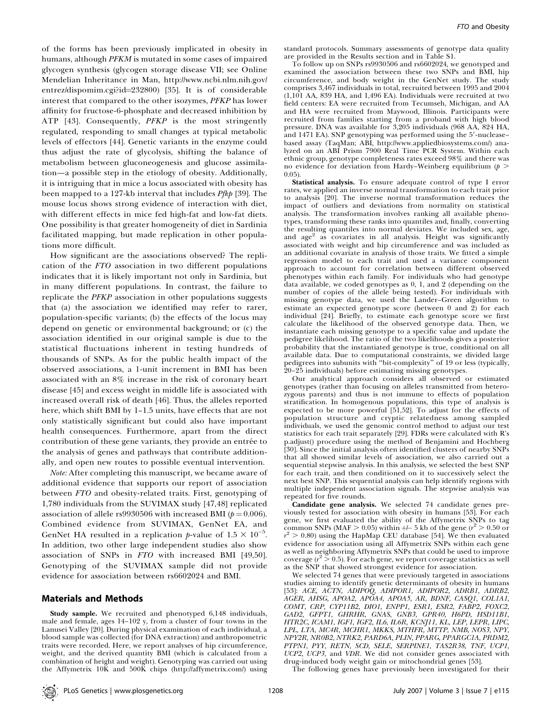of the forms has been previously implicated in obesity in humans, although PFKM is mutated in some cases of impaired glycogen synthesis (glycogen storage disease VII; see Online Mendelian Inheritance in Man, http://www.ncbi.nlm.nih.gov/ entrez/dispomim.cgi?id=232800) [35]. It is of considerable interest that compared to the other isozymes, PFKP has lower affinity for fructose-6-phosphate and decreased inhibition by ATP [43]. Consequently, PFKP is the most stringently regulated, responding to small changes at typical metabolic levels of effectors [44]. Genetic variants in the enzyme could thus adjust the rate of glycolysis, shifting the balance of metabolism between gluconeogenesis and glucose assimilation—a possible step in the etiology of obesity. Additionally, it is intriguing that in mice a locus associated with obesity has been mapped to a 127-kb interval that includes *Pfkp* [39]. The mouse locus shows strong evidence of interaction with diet, with different effects in mice fed high-fat and low-fat diets. One possibility is that greater homogeneity of diet in Sardinia facilitated mapping, but made replication in other populations more difficult.

How significant are the associations observed? The replication of the FTO association in two different populations indicates that it is likely important not only in Sardinia, but in many different populations. In contrast, the failure to replicate the PFKP association in other populations suggests that (a) the association we identified may refer to rarer, population-specific variants; (b) the effects of the locus may depend on genetic or environmental background; or (c) the association identified in our original sample is due to the statistical fluctuations inherent in testing hundreds of thousands of SNPs. As for the public health impact of the observed associations, a 1-unit increment in BMI has been associated with an 8% increase in the risk of coronary heart disease [45] and excess weight in middle life is associated with increased overall risk of death [46]. Thus, the alleles reported here, which shift BMI by 1–1.5 units, have effects that are not only statistically significant but could also have important health consequences. Furthermore, apart from the direct contribution of these gene variants, they provide an entrée to the analysis of genes and pathways that contribute additionally, and open new routes to possible eventual intervention.

Note: After completing this manuscript, we became aware of additional evidence that supports our report of association between FTO and obesity-related traits. First, genotyping of 1,780 individuals from the SUVIMAX study [47,48] replicated association of allele rs9930506 with increased BMI ( $p = 0.006$ ). Combined evidence from SUVIMAX, GenNet EA, and GenNet HA resulted in a replication p-value of  $1.5 \times 10^{-5}$ . In addition, two other large independent studies also show association of SNPs in FTO with increased BMI [49,50]. Genotyping of the SUVIMAX sample did not provide evidence for association between rs6602024 and BMI.

## Materials and Methods

Study sample. We recruited and phenotyped 6,148 individuals, male and female, ages 14–102 y, from a cluster of four towns in the Lanusei Valley [20]. During physical examination of each individual, a blood sample was collected (for DNA extraction) and anthropometric traits were recorded. Here, we report analyses of hip circumference, weight, and the derived quantity BMI (which is calculated from a combination of height and weight). Genotyping was carried out using the Affymetrix 10K and 500K chips (http://affymetrix.com/) using

standard protocols. Summary assessments of genotype data quality are provided in the Results section and in Table S1.

To follow up on SNPs rs9930506 and rs6602024, we genotyped and examined the association between these two SNPs and BMI, hip circumference, and body weight in the GenNet study. The study comprises 3,467 individuals in total, recruited between 1995 and 2004 (1,101 AA, 839 HA, and 1,496 EA). Individuals were recruited at two field centers: EA were recruited from Tecumseh, Michigan, and AA and HA were recruited from Maywood, Illinois. Participants were recruited from families starting from a proband with high blood pressure. DNA was available for 3,205 individuals (968 AA, 824 HA, and 1471 EA). SNP genotyping was performed using the 5'-nucleasebased assay (TaqMan; ABI, http://www.appliedbiosystems.com/) analyzed on an ABI Prism 7900 Real Time PCR System. Within each ethnic group, genotype completeness rates exceed 98% and there was no evidence for deviation from Hardy–Weinberg equilibrium ( $p >$ 0.05).

Statistical analysis. To ensure adequate control of type I error rates, we applied an inverse normal transformation to each trait prior to analysis [20]. The inverse normal transformation reduces the impact of outliers and deviations from normality on statistical analysis. The transformation involves ranking all available phenotypes, transforming these ranks into quantiles and, finally, converting the resulting quantiles into normal deviates. We included sex, age, and age<sup>2</sup> as covariates in all analysis. Height was significantly associated with weight and hip circumference and was included as an additional covariate in analysis of those traits. We fitted a simple regression model to each trait and used a variance component approach to account for correlation between different observed phenotypes within each family. For individuals who had genotype data available, we coded genotypes as 0, 1, and 2 (depending on the number of copies of the allele being tested). For individuals with missing genotype data, we used the Lander–Green algorithm to estimate an expected genotype score (between 0 and 2) for each individual [24]. Briefly, to estimate each genotype score we first calculate the likelihood of the observed genotype data. Then, we instantiate each missing genotype to a specific value and update the pedigree likelihood. The ratio of the two likelihoods gives a posterior probability that the instantiated genotype is true, conditional on all available data. Due to computational constraints, we divided large pedigrees into subunits with ''bit-complexity'' of 19 or less (typically, 20–25 individuals) before estimating missing genotypes.

Our analytical approach considers all observed or estimated genotypes (rather than focusing on alleles transmitted from heterozygous parents) and thus is not immune to effects of population stratification. In homogenous populations, this type of analysis is expected to be more powerful [51,52]. To adjust for the effects of population structure and cryptic relatedness among sampled individuals, we used the genomic control method to adjust our test statistics for each trait separately [29]. FDRs were calculated with R's p.adjust() procedure using the method of Benjamini and Hochberg [30]. Since the initial analysis often identified clusters of nearby SNPs that all showed similar levels of association, we also carried out a sequential stepwise analysis. In this analysis, we selected the best SNP for each trait, and then conditioned on it to successively select the next best SNP. This sequential analysis can help identify regions with multiple independent association signals. The stepwise analysis was repeated for five rounds.

Candidate gene analysis. We selected 74 candidate genes previously tested for association with obesity in humans [53]. For each gene, we first evaluated the ability of the Affymetrix SNPs to tag common SNPs (MAF  $> 0.05$ ) within  $+/- 5$  kb of the gene ( $r^2 > 0.50$  or  $r^2 > 0.80$ ) using the HapMap CEU database [54]. We then evaluated evidence for association using all Affymetrix SNPs within each gene as well as neighboring Affymetrix SNPs that could be used to improve coverage ( $r^2 > 0.5$ ). For each gene, we report coverage statistics as well as the SNP that showed strongest evidence for association.

We selected 74 genes that were previously targeted in associations studies aiming to identify genetic determinants of obesity in humans [53]: ACE, ACTN, ADIPOQ, ADIPOR1, ADIPOR2, ADRB1, ADRB2, AGER, AHSG, APOA2, APOA4, APOA5, AR, BDNF, CASQ1, COL1A1, COMT, CRP, CYP11B2, DIO1, ENPP1, ESR1, ESR2, FABP2, FOXC2, GAD2, GFPT1, GHRHR, GNAS, GNB3, GPR40, H6PD, HSD11B1, HTR2C, ICAM1, IGF1, IGF2, IL6, IL6R, KCNJ11, KL, LEP, LEPR, LIPC, LPL, LTA, MC4R, MCHR1, MKKS, MTHFR, MTTP, NMB, NOS3, NPY, NPY2R, NR0B2, NTRK2, PARD6A, PLIN, PPARG, PPARGC1A, PRDM2, PTPN1, PYY, RETN, SCD, SELE, SERPINE1, TAS2R38, TNF, UCP1, UCP2, UCP3, and VDR. We did not consider genes associated with drug-induced body weight gain or mitochondrial genes [53].

The following genes have previously been investigated for their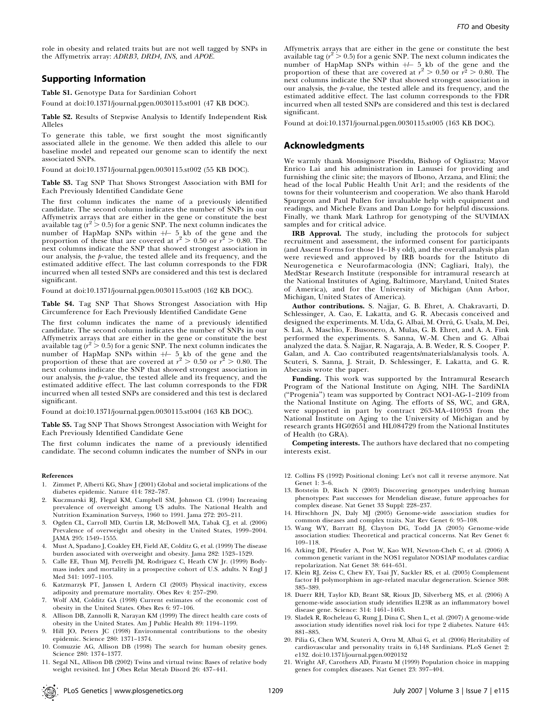role in obesity and related traits but are not well tagged by SNPs in the Affymetrix array: ADRB3, DRD4, INS, and APOE.

## Supporting Information

Table S1. Genotype Data for Sardinian Cohort Found at doi:10.1371/journal.pgen.0030115.st001 (47 KB DOC).

Table S2. Results of Stepwise Analysis to Identify Independent Risk Alleles

To generate this table, we first sought the most significantly associated allele in the genome. We then added this allele to our baseline model and repeated our genome scan to identify the next associated SNPs.

Found at doi:10.1371/journal.pgen.0030115.st002 (55 KB DOC).

Table S3. Tag SNP That Shows Strongest Association with BMI for Each Previously Identified Candidate Gene

The first column indicates the name of a previously identified candidate. The second column indicates the number of SNPs in our Affymetrix arrays that are either in the gene or constitute the best available tag ( $r^2 > 0.5$ ) for a genic SNP. The next column indicates the number of HapMap SNPs within  $+/-$  5 kb of the gene and the proportion of these that are covered at  $r^2 > 0.50$  or  $r^2 > 0.80$ . The next columns indicate the SNP that showed strongest association in our analysis, the p-value, the tested allele and its frequency, and the estimated additive effect. The last column corresponds to the FDR incurred when all tested SNPs are considered and this test is declared significant.

Found at doi:10.1371/journal.pgen.0030115.st003 (162 KB DOC).

Table S4. Tag SNP That Shows Strongest Association with Hip Circumference for Each Previously Identified Candidate Gene

The first column indicates the name of a previously identified candidate. The second column indicates the number of SNPs in our Affymetrix arrays that are either in the gene or constitute the best available tag ( $r^2 > 0.5$ ) for a genic SNP. The next column indicates the number of HapMap SNPs within  $+/-$  5 kb of the gene and the proportion of these that are covered at  $r^2 > 0.50$  or  $r^2 > 0.80$ . The next columns indicate the SNP that showed strongest association in our analysis, the p-value, the tested allele and its frequency, and the estimated additive effect. The last column corresponds to the FDR incurred when all tested SNPs are considered and this test is declared significant.

Found at doi:10.1371/journal.pgen.0030115.st004 (163 KB DOC).

Table S5. Tag SNP That Shows Strongest Association with Weight for Each Previously Identified Candidate Gene

The first column indicates the name of a previously identified candidate. The second column indicates the number of SNPs in our

#### References

- 1. Zimmet P, Alberti KG, Shaw J (2001) Global and societal implications of the diabetes epidemic. Nature 414: 782–787.
- 2. Kuczmarski RJ, Flegal KM, Campbell SM, Johnson CL (1994) Increasing prevalence of overweight among US adults. The National Health and Nutrition Examination Surveys, 1960 to 1991. Jama 272: 205–211.
- 3. Ogden CL, Carroll MD, Curtin LR, McDowell MA, Tabak CJ, et al. (2006) Prevalence of overweight and obesity in the United States, 1999–2004. JAMA 295: 1549–1555.
- 4. Must A, Spadano J, Coakley EH, Field AE, Colditz G, et al. (1999) The disease burden associated with overweight and obesity. Jama 282: 1523–1529.
- 5. Calle EE, Thun MJ, Petrelli JM, Rodriguez C, Heath CW Jr. (1999) Bodymass index and mortality in a prospective cohort of U.S. adults. N Engl J Med 341: 1097–1105.
- 6. Katzmarzyk PT, Janssen I, Ardern CI (2003) Physical inactivity, excess adiposity and premature mortality. Obes Rev 4: 257–290.
- 7. Wolf AM, Colditz GA (1998) Current estimates of the economic cost of obesity in the United States. Obes Res 6: 97–106.
- 8. Allison DB, Zannolli R, Narayan KM (1999) The direct health care costs of obesity in the United States. Am J Public Health 89: 1194–1199.
- 9. Hill JO, Peters JC (1998) Environmental contributions to the obesity epidemic. Science 280: 1371–1374.
- 10. Comuzzie AG, Allison DB (1998) The search for human obesity genes. Science 280: 1374–1377.
- 11. Segal NL, Allison DB (2002) Twins and virtual twins: Bases of relative body weight revisited. Int J Obes Relat Metab Disord 26: 437–441.

Affymetrix arrays that are either in the gene or constitute the best available tag ( $r^2 > 0.5$ ) for a genic SNP. The next column indicates the number of HapMap SNPs within  $+/-$  5 kb of the gene and the proportion of these that are covered at  $r^2 > 0.50$  or  $r^2 > 0.80$ . The next columns indicate the SNP that showed strongest association in our analysis, the p-value, the tested allele and its frequency, and the estimated additive effect. The last column corresponds to the FDR incurred when all tested SNPs are considered and this test is declared significant.

Found at doi:10.1371/journal.pgen.0030115.st005 (163 KB DOC).

## Acknowledgments

We warmly thank Monsignore Piseddu, Bishop of Ogliastra; Mayor Enrico Lai and his administration in Lanusei for providing and furnishing the clinic site; the mayors of Ilbono, Arzana, and Elini; the head of the local Public Health Unit Ar1; and the residents of the towns for their volunteerism and cooperation. We also thank Harold Spurgeon and Paul Pullen for invaluable help with equipment and readings, and Michele Evans and Dan Longo for helpful discussions. Finally, we thank Mark Lathrop for genotyping of the SUVIMAX samples and for critical advice.

IRB Approval. The study, including the protocols for subject recruitment and assessment, the informed consent for participants (and Assent Forms for those 14–18 y old), and the overall analysis plan were reviewed and approved by IRB boards for the Istituto di Neurogenetica e Neurofarmacologia (INN; Cagliari, Italy), the MedStar Research Institute (responsible for intramural research at the National Institutes of Aging, Baltimore, Maryland, United States of America), and for the University of Michigan (Ann Arbor, Michigan, United States of America).

Author contributions. S. Najjar, G. B. Ehret, A. Chakravarti, D. Schlessinger, A. Cao, E. Lakatta, and G. R. Abecasis conceived and designed the experiments. M. Uda, G. Albai, M. Orrú, G. Usala, M. Dei, S. Lai, A. Maschio, F. Busonero, A. Mulas, G. B. Ehret, and A. A. Fink performed the experiments. S. Sanna, W.-M. Chen and G. Albai analyzed the data. S. Najjar, R. Nagaraja, A. B. Weder, R. S. Cooper, P. Galan, and A. Cao contributed reagents/materials/analysis tools. A. Scuteri, S. Sanna, J. Strait, D. Schlessinger, E. Lakatta, and G. R. Abecasis wrote the paper.

Funding. This work was supported by the Intramural Research Program of the National Institute on Aging, NIH. The SardiNIA (''Progenia'') team was supported by Contract NO1-AG-1–2109 from the National Institute on Aging. The efforts of SS, WC, and GRA, were supported in part by contract 263-MA-410953 from the National Institute on Aging to the University of Michigan and by research grants HG02651 and HL084729 from the National Institutes of Health (to GRA).

Competing interests. The authors have declared that no competing interests exist.

- 12. Collins FS (1992) Positional cloning: Let's not call it reverse anymore. Nat Genet 1: 3–6.
- 13. Botstein D, Risch N (2003) Discovering genotypes underlying human phenotypes: Past successes for Mendelian disease, future approaches for complex disease. Nat Genet 33 Suppl: 228–237.
- 14. Hirschhorn JN, Daly MJ (2005) Genome-wide association studies for common diseases and complex traits. Nat Rev Genet 6: 95–108.
- 15. Wang WY, Barratt BJ, Clayton DG, Todd JA (2005) Genome-wide association studies: Theoretical and practical concerns. Nat Rev Genet 6: 109–118.
- 16. Arking DE, Pfeufer A, Post W, Kao WH, Newton-Cheh C, et al. (2006) A common genetic variant in the NOS1 regulator NOS1AP modulates cardiac repolarization. Nat Genet 38: 644–651.
- 17. Klein RJ, Zeiss C, Chew EY, Tsai JY, Sackler RS, et al. (2005) Complement factor H polymorphism in age-related macular degeneration. Science 308: 385–389.
- 18. Duerr RH, Taylor KD, Brant SR, Rioux JD, Silverberg MS, et al. (2006) A genome-wide association study identifies IL23R as an inflammatory bowel disease gene. Science: 314: 1461–1463.
- 19. Sladek R, Rocheleau G, Rung J, Dina C, Shen L, et al. (2007) A genome-wide association study identifies novel risk loci for type 2 diabetes. Nature 445: 881–885.
- 20. Pilia G, Chen WM, Scuteri A, Orru M, Albai G, et al. (2006) Heritability of cardiovascular and personality traits in 6,148 Sardinians. PLoS Genet 2: e132. doi:10.1371/journal.pgen.0020132
- 21. Wright AF, Carothers AD, Pirastu M (1999) Population choice in mapping genes for complex diseases. Nat Genet 23: 397–404.